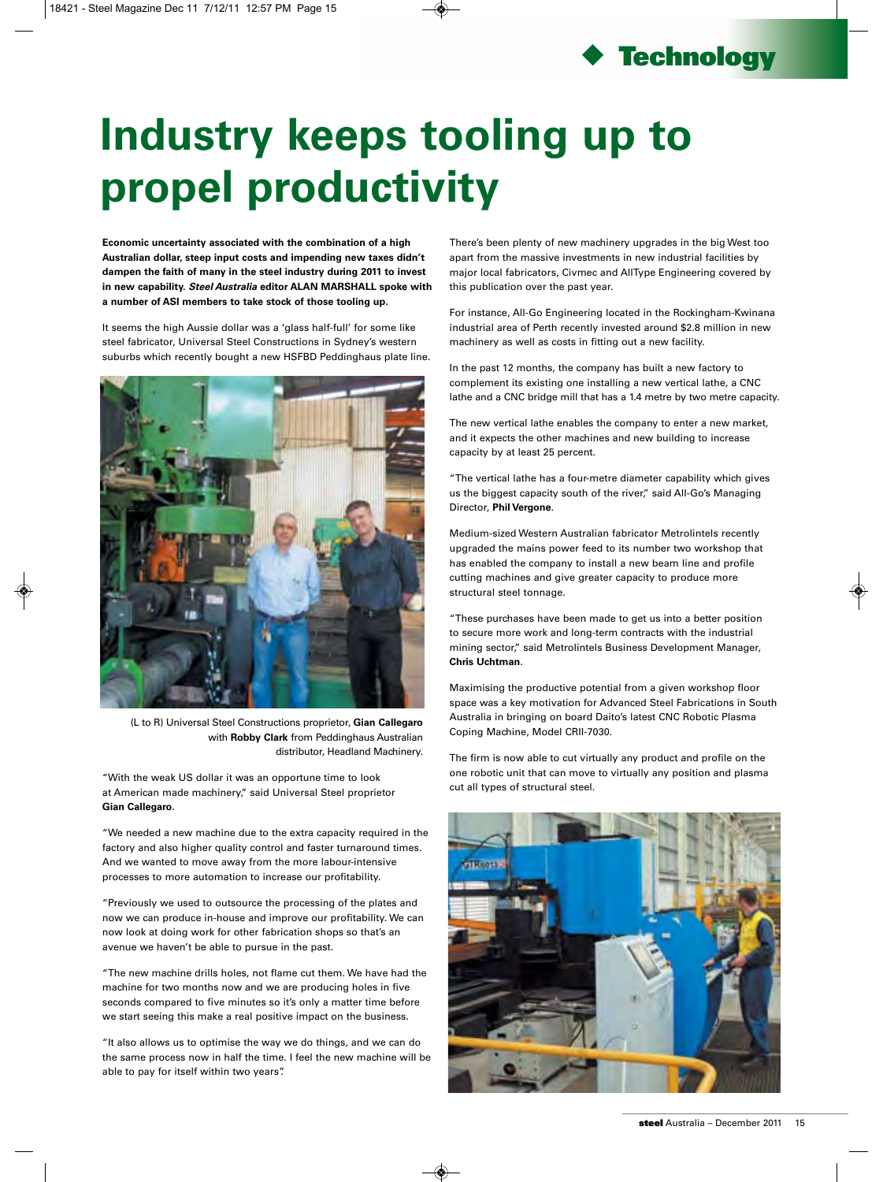

## **Industry keeps tooling up to propel productivity**

**Economic uncertainty associated with the combination of a high Australian dollar, steep input costs and impending new taxes didn't dampen the faith of many in the steel industry during 2011 to invest in new capability. Steel Australia editor ALAN MARSHALL spoke with a number of ASI members to take stock of those tooling up.**

It seems the high Aussie dollar was a 'glass half-full' for some like steel fabricator, Universal Steel Constructions in Sydney's western suburbs which recently bought a new HSFBD Peddinghaus plate line.



(L to R) Universal Steel Constructions proprietor, **Gian Callegaro**  with **Robby Clark** from Peddinghaus Australian distributor, Headland Machinery.

"With the weak US dollar it was an opportune time to look at American made machinery," said Universal Steel proprietor **Gian Callegaro**.

"We needed a new machine due to the extra capacity required in the factory and also higher quality control and faster turnaround times. And we wanted to move away from the more labour-intensive processes to more automation to increase our profitability.

"Previously we used to outsource the processing of the plates and now we can produce in-house and improve our profitability. We can now look at doing work for other fabrication shops so that's an avenue we haven't be able to pursue in the past.

"The new machine drills holes, not flame cut them. We have had the machine for two months now and we are producing holes in five seconds compared to five minutes so it's only a matter time before we start seeing this make a real positive impact on the business.

"It also allows us to optimise the way we do things, and we can do the same process now in half the time. I feel the new machine will be able to pay for itself within two years".

There's been plenty of new machinery upgrades in the big West too apart from the massive investments in new industrial facilities by major local fabricators, Civmec and AllType Engineering covered by this publication over the past year.

For instance, All-Go Engineering located in the Rockingham-Kwinana industrial area of Perth recently invested around \$2.8 million in new machinery as well as costs in fitting out a new facility.

In the past 12 months, the company has built a new factory to complement its existing one installing a new vertical lathe, a CNC lathe and a CNC bridge mill that has a 1.4 metre by two metre capacity.

The new vertical lathe enables the company to enter a new market, and it expects the other machines and new building to increase capacity by at least 25 percent.

"The vertical lathe has a four-metre diameter capability which gives us the biggest capacity south of the river," said All-Go's Managing Director, **Phil Vergone**.

Medium-sized Western Australian fabricator Metrolintels recently upgraded the mains power feed to its number two workshop that has enabled the company to install a new beam line and profile cutting machines and give greater capacity to produce more structural steel tonnage.

"These purchases have been made to get us into a better position to secure more work and long-term contracts with the industrial mining sector," said Metrolintels Business Development Manager, **Chris Uchtman**.

Maximising the productive potential from a given workshop floor space was a key motivation for Advanced Steel Fabrications in South Australia in bringing on board Daito's latest CNC Robotic Plasma Coping Machine, Model CRII-7030.

The firm is now able to cut virtually any product and profile on the one robotic unit that can move to virtually any position and plasma cut all types of structural steel.

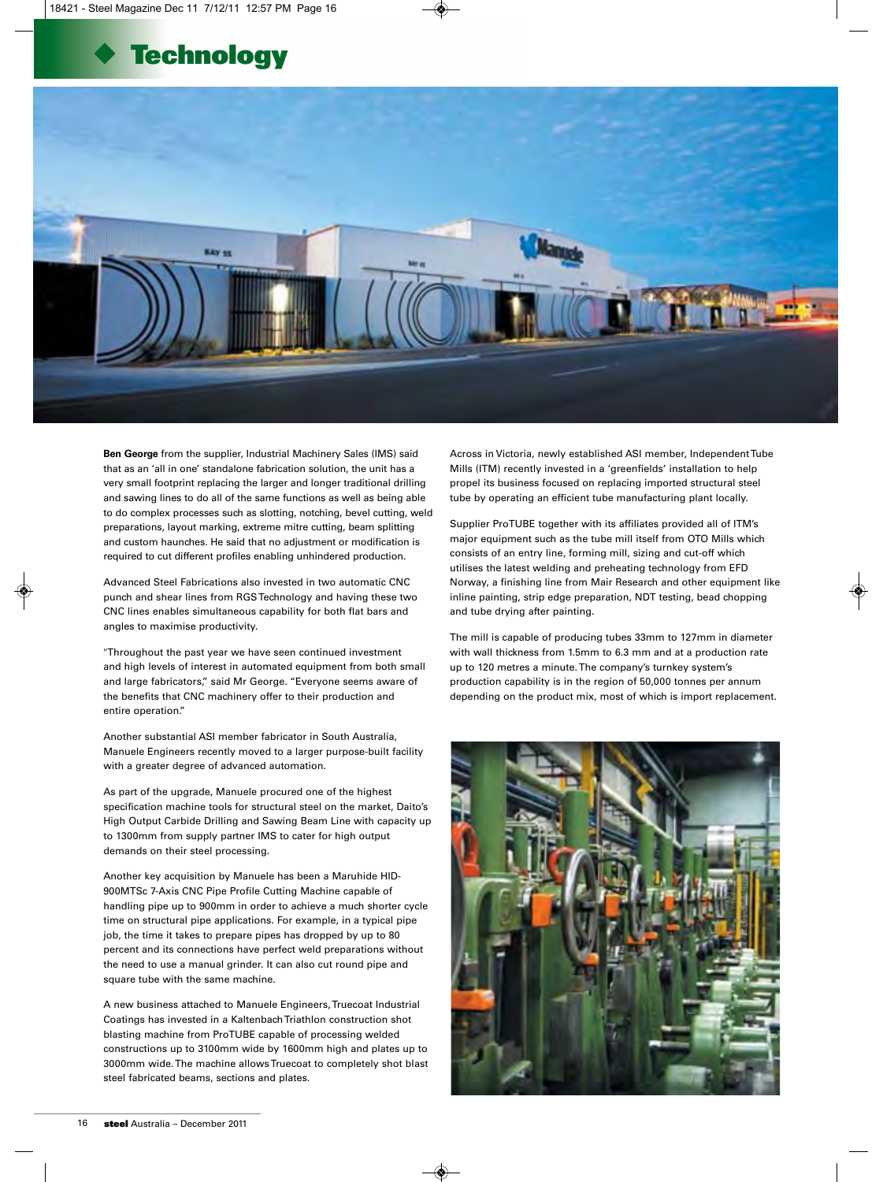



**Ben George** from the supplier, Industrial Machinery Sales (IMS) said that as an 'all in one' standalone fabrication solution, the unit has a very small footprint replacing the larger and longer traditional drilling and sawing lines to do all of the same functions as well as being able to do complex processes such as slotting, notching, bevel cutting, weld preparations, layout marking, extreme mitre cutting, beam splitting and custom haunches. He said that no adjustment or modification is required to cut different profiles enabling unhindered production.

Advanced Steel Fabrications also invested in two automatic CNC punch and shear lines from RGS Technology and having these two CNC lines enables simultaneous capability for both flat bars and angles to maximise productivity.

"Throughout the past year we have seen continued investment and high levels of interest in automated equipment from both small and large fabricators," said Mr George. "Everyone seems aware of the benefits that CNC machinery offer to their production and entire operation."

Another substantial ASI member fabricator in South Australia, Manuele Engineers recently moved to a larger purpose-built facility with a greater degree of advanced automation.

As part of the upgrade, Manuele procured one of the highest specification machine tools for structural steel on the market, Daito's High Output Carbide Drilling and Sawing Beam Line with capacity up to 1300mm from supply partner IMS to cater for high output demands on their steel processing.

Another key acquisition by Manuele has been a Maruhide HID-900MTSc 7-Axis CNC Pipe Profile Cutting Machine capable of handling pipe up to 900mm in order to achieve a much shorter cycle time on structural pipe applications. For example, in a typical pipe job, the time it takes to prepare pipes has dropped by up to 80 percent and its connections have perfect weld preparations without the need to use a manual grinder. It can also cut round pipe and square tube with the same machine.

A new business attached to Manuele Engineers, Truecoat Industrial Coatings has invested in a Kaltenbach Triathlon construction shot blasting machine from ProTUBE capable of processing welded constructions up to 3100mm wide by 1600mm high and plates up to 3000mm wide. The machine allows Truecoat to completely shot blast steel fabricated beams, sections and plates.

Across in Victoria, newly established ASI member, Independent Tube Mills (ITM) recently invested in a 'greenfields' installation to help propel its business focused on replacing imported structural steel tube by operating an efficient tube manufacturing plant locally.

Supplier ProTUBE together with its affiliates provided all of ITM's major equipment such as the tube mill itself from OTO Mills which consists of an entry line, forming mill, sizing and cut-off which utilises the latest welding and preheating technology from EFD Norway, a finishing line from Mair Research and other equipment like inline painting, strip edge preparation, NDT testing, bead chopping and tube drying after painting.

The mill is capable of producing tubes 33mm to 127mm in diameter with wall thickness from 1.5mm to 6.3 mm and at a production rate up to 120 metres a minute. The company's turnkey system's production capability is in the region of 50,000 tonnes per annum depending on the product mix, most of which is import replacement.

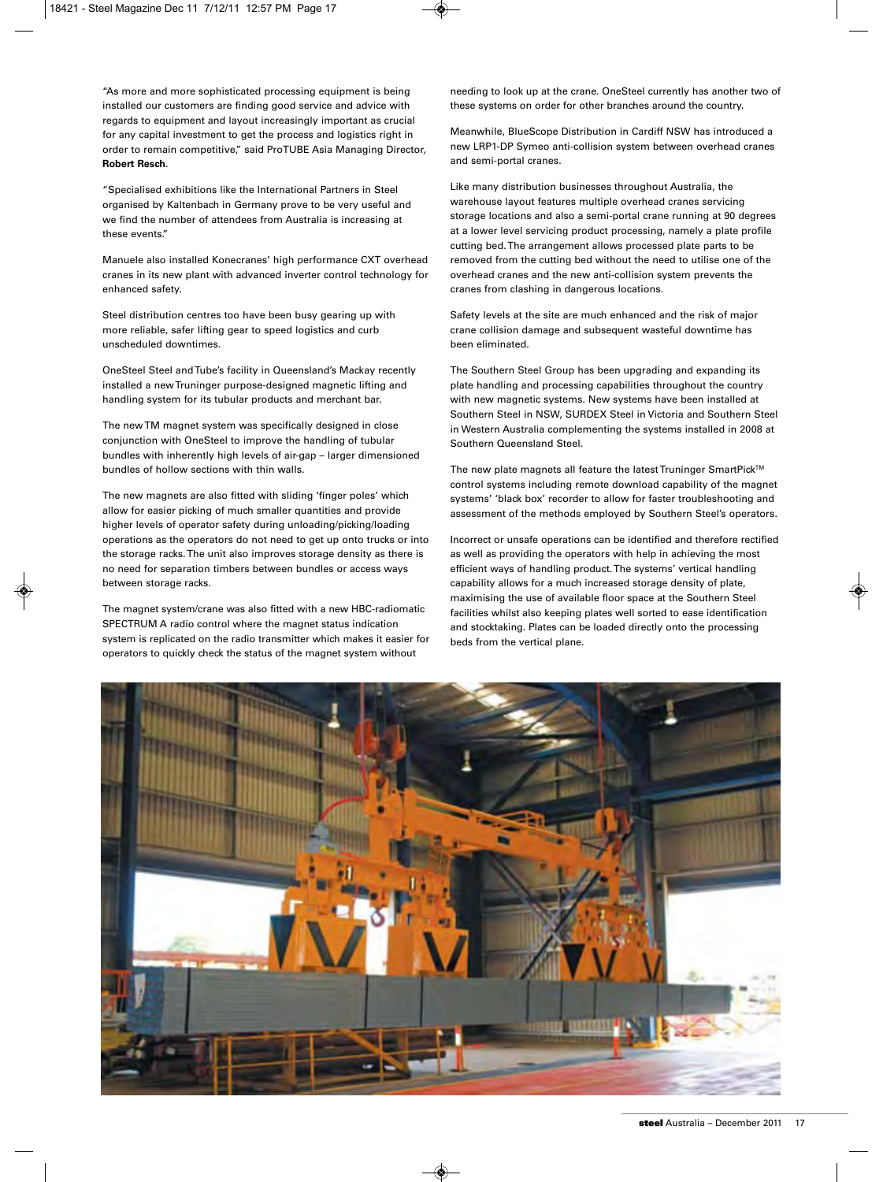"As more and more sophisticated processing equipment is being installed our customers are finding good service and advice with regards to equipment and layout increasingly important as crucial for any capital investment to get the process and logistics right in order to remain competitive," said ProTUBE Asia Managing Director, **Robert Resch**.

"Specialised exhibitions like the International Partners in Steel organised by Kaltenbach in Germany prove to be very useful and we find the number of attendees from Australia is increasing at these events."

Manuele also installed Konecranes' high performance CXT overhead cranes in its new plant with advanced inverter control technology for enhanced safety.

Steel distribution centres too have been busy gearing up with more reliable, safer lifting gear to speed logistics and curb unscheduled downtimes.

OneSteel Steel and Tube's facility in Queensland's Mackay recently installed a new Truninger purpose-designed magnetic lifting and handling system for its tubular products and merchant bar.

The new TM magnet system was specifically designed in close conjunction with OneSteel to improve the handling of tubular bundles with inherently high levels of air-gap – larger dimensioned bundles of hollow sections with thin walls.

The new magnets are also fitted with sliding 'finger poles' which allow for easier picking of much smaller quantities and provide higher levels of operator safety during unloading/picking/loading operations as the operators do not need to get up onto trucks or into the storage racks. The unit also improves storage density as there is no need for separation timbers between bundles or access ways between storage racks.

The magnet system/crane was also fitted with a new HBC-radiomatic SPECTRUM A radio control where the magnet status indication system is replicated on the radio transmitter which makes it easier for operators to quickly check the status of the magnet system without

needing to look up at the crane. OneSteel currently has another two of these systems on order for other branches around the country.

Meanwhile, BlueScope Distribution in Cardiff NSW has introduced a new LRP1-DP Symeo anti-collision system between overhead cranes and semi-portal cranes.

Like many distribution businesses throughout Australia, the warehouse layout features multiple overhead cranes servicing storage locations and also a semi-portal crane running at 90 degrees at a lower level servicing product processing, namely a plate profile cutting bed. The arrangement allows processed plate parts to be removed from the cutting bed without the need to utilise one of the overhead cranes and the new anti-collision system prevents the cranes from clashing in dangerous locations.

Safety levels at the site are much enhanced and the risk of major crane collision damage and subsequent wasteful downtime has been eliminated.

The Southern Steel Group has been upgrading and expanding its plate handling and processing capabilities throughout the country with new magnetic systems. New systems have been installed at Southern Steel in NSW, SURDEX Steel in Victoria and Southern Steel in Western Australia complementing the systems installed in 2008 at Southern Queensland Steel.

The new plate magnets all feature the latest Truninger SmartPick™ control systems including remote download capability of the magnet systems' 'black box' recorder to allow for faster troubleshooting and assessment of the methods employed by Southern Steel's operators.

Incorrect or unsafe operations can be identified and therefore rectified as well as providing the operators with help in achieving the most efficient ways of handling product. The systems' vertical handling capability allows for a much increased storage density of plate, maximising the use of available floor space at the Southern Steel facilities whilst also keeping plates well sorted to ease identification and stocktaking. Plates can be loaded directly onto the processing beds from the vertical plane.